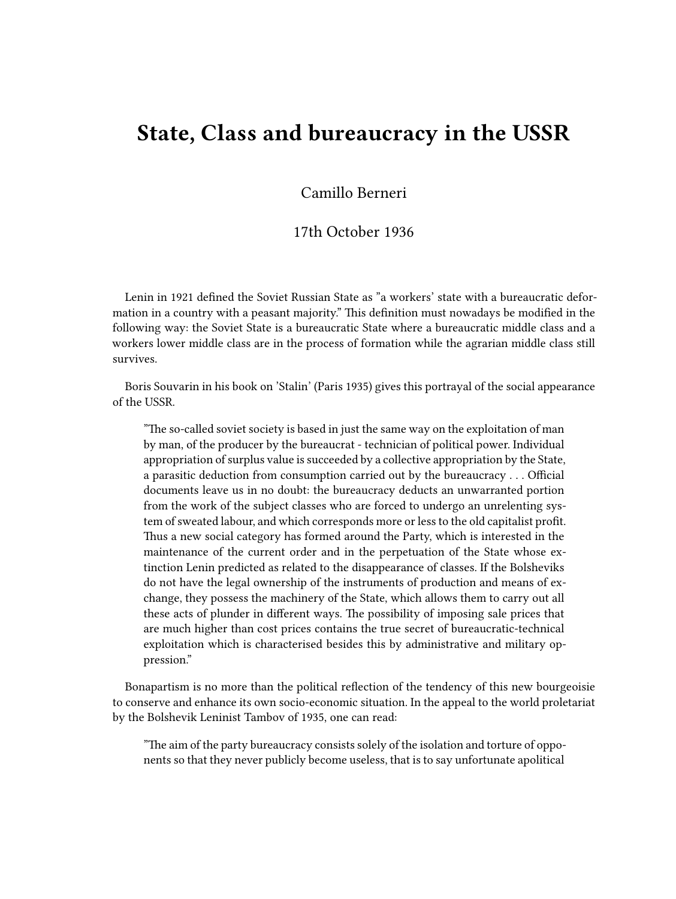## **State, Class and bureaucracy in the USSR**

Camillo Berneri

## 17th October 1936

Lenin in 1921 defined the Soviet Russian State as "a workers' state with a bureaucratic deformation in a country with a peasant majority." This definition must nowadays be modified in the following way: the Soviet State is a bureaucratic State where a bureaucratic middle class and a workers lower middle class are in the process of formation while the agrarian middle class still survives.

Boris Souvarin in his book on 'Stalin' (Paris 1935) gives this portrayal of the social appearance of the USSR.

"The so-called soviet society is based in just the same way on the exploitation of man by man, of the producer by the bureaucrat - technician of political power. Individual appropriation of surplus value is succeeded by a collective appropriation by the State, a parasitic deduction from consumption carried out by the bureaucracy . . . Official documents leave us in no doubt: the bureaucracy deducts an unwarranted portion from the work of the subject classes who are forced to undergo an unrelenting system of sweated labour, and which corresponds more or less to the old capitalist profit. Thus a new social category has formed around the Party, which is interested in the maintenance of the current order and in the perpetuation of the State whose extinction Lenin predicted as related to the disappearance of classes. If the Bolsheviks do not have the legal ownership of the instruments of production and means of exchange, they possess the machinery of the State, which allows them to carry out all these acts of plunder in different ways. The possibility of imposing sale prices that are much higher than cost prices contains the true secret of bureaucratic-technical exploitation which is characterised besides this by administrative and military oppression."

Bonapartism is no more than the political reflection of the tendency of this new bourgeoisie to conserve and enhance its own socio-economic situation. In the appeal to the world proletariat by the Bolshevik Leninist Tambov of 1935, one can read:

"The aim of the party bureaucracy consists solely of the isolation and torture of opponents so that they never publicly become useless, that is to say unfortunate apolitical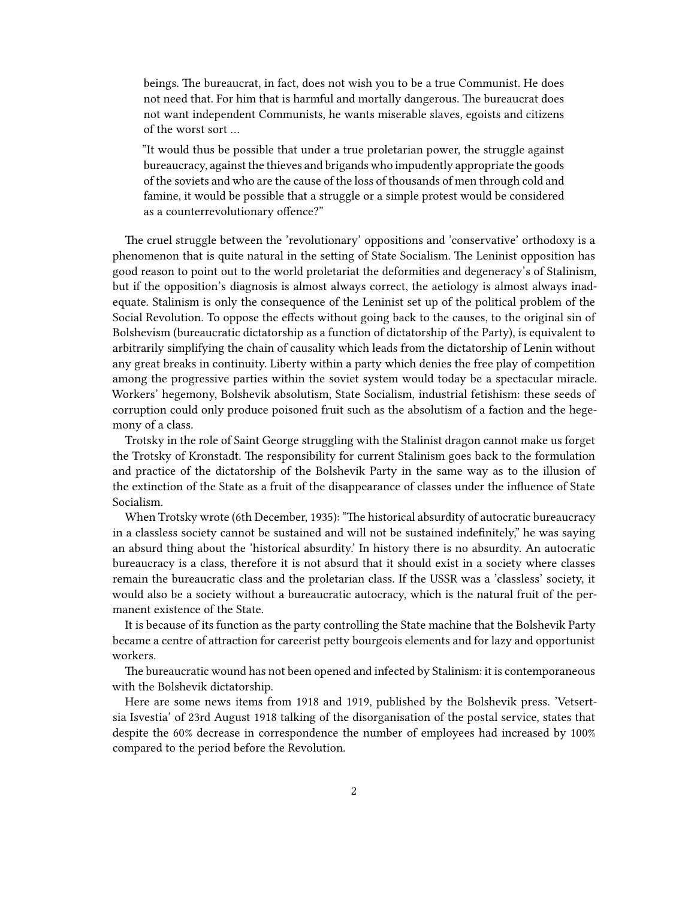beings. The bureaucrat, in fact, does not wish you to be a true Communist. He does not need that. For him that is harmful and mortally dangerous. The bureaucrat does not want independent Communists, he wants miserable slaves, egoists and citizens of the worst sort …

"It would thus be possible that under a true proletarian power, the struggle against bureaucracy, against the thieves and brigands who impudently appropriate the goods of the soviets and who are the cause of the loss of thousands of men through cold and famine, it would be possible that a struggle or a simple protest would be considered as a counterrevolutionary offence?"

The cruel struggle between the 'revolutionary' oppositions and 'conservative' orthodoxy is a phenomenon that is quite natural in the setting of State Socialism. The Leninist opposition has good reason to point out to the world proletariat the deformities and degeneracy's of Stalinism, but if the opposition's diagnosis is almost always correct, the aetiology is almost always inadequate. Stalinism is only the consequence of the Leninist set up of the political problem of the Social Revolution. To oppose the effects without going back to the causes, to the original sin of Bolshevism (bureaucratic dictatorship as a function of dictatorship of the Party), is equivalent to arbitrarily simplifying the chain of causality which leads from the dictatorship of Lenin without any great breaks in continuity. Liberty within a party which denies the free play of competition among the progressive parties within the soviet system would today be a spectacular miracle. Workers' hegemony, Bolshevik absolutism, State Socialism, industrial fetishism: these seeds of corruption could only produce poisoned fruit such as the absolutism of a faction and the hegemony of a class.

Trotsky in the role of Saint George struggling with the Stalinist dragon cannot make us forget the Trotsky of Kronstadt. The responsibility for current Stalinism goes back to the formulation and practice of the dictatorship of the Bolshevik Party in the same way as to the illusion of the extinction of the State as a fruit of the disappearance of classes under the influence of State Socialism.

When Trotsky wrote (6th December, 1935): "The historical absurdity of autocratic bureaucracy in a classless society cannot be sustained and will not be sustained indefinitely," he was saying an absurd thing about the 'historical absurdity.' In history there is no absurdity. An autocratic bureaucracy is a class, therefore it is not absurd that it should exist in a society where classes remain the bureaucratic class and the proletarian class. If the USSR was a 'classless' society, it would also be a society without a bureaucratic autocracy, which is the natural fruit of the permanent existence of the State.

It is because of its function as the party controlling the State machine that the Bolshevik Party became a centre of attraction for careerist petty bourgeois elements and for lazy and opportunist workers.

The bureaucratic wound has not been opened and infected by Stalinism: it is contemporaneous with the Bolshevik dictatorship.

Here are some news items from 1918 and 1919, published by the Bolshevik press. 'Vetsertsia Isvestia' of 23rd August 1918 talking of the disorganisation of the postal service, states that despite the 60% decrease in correspondence the number of employees had increased by 100% compared to the period before the Revolution.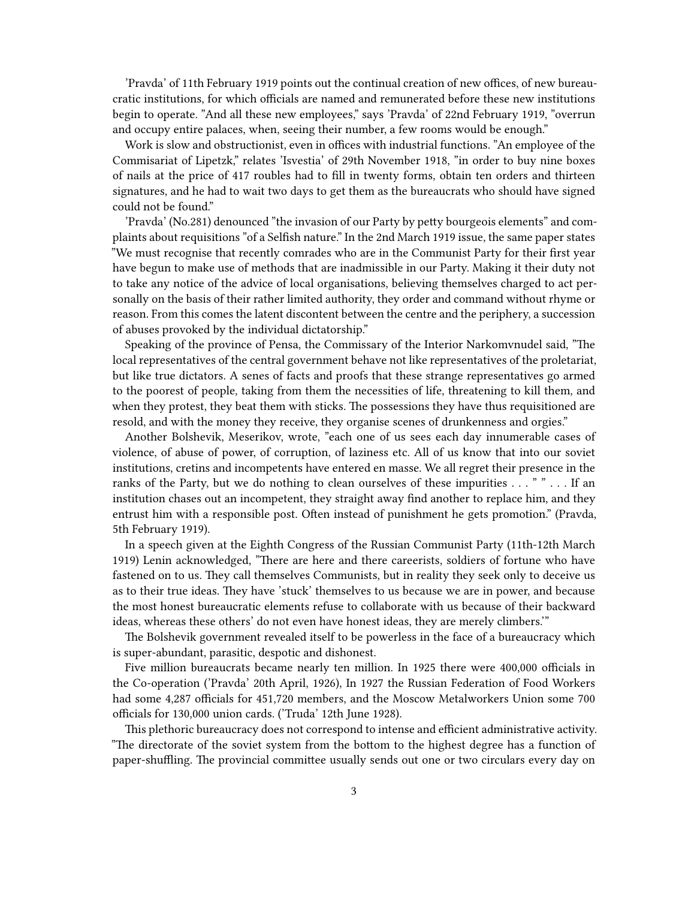'Pravda' of 11th February 1919 points out the continual creation of new offices, of new bureaucratic institutions, for which officials are named and remunerated before these new institutions begin to operate. "And all these new employees," says 'Pravda' of 22nd February 1919, "overrun and occupy entire palaces, when, seeing their number, a few rooms would be enough."

Work is slow and obstructionist, even in offices with industrial functions. "An employee of the Commisariat of Lipetzk," relates 'Isvestia' of 29th November 1918, "in order to buy nine boxes of nails at the price of 417 roubles had to fill in twenty forms, obtain ten orders and thirteen signatures, and he had to wait two days to get them as the bureaucrats who should have signed could not be found."

'Pravda' (No.281) denounced "the invasion of our Party by petty bourgeois elements" and complaints about requisitions "of a Selfish nature." In the 2nd March 1919 issue, the same paper states "We must recognise that recently comrades who are in the Communist Party for their first year have begun to make use of methods that are inadmissible in our Party. Making it their duty not to take any notice of the advice of local organisations, believing themselves charged to act personally on the basis of their rather limited authority, they order and command without rhyme or reason. From this comes the latent discontent between the centre and the periphery, a succession of abuses provoked by the individual dictatorship."

Speaking of the province of Pensa, the Commissary of the Interior Narkomvnudel said, "The local representatives of the central government behave not like representatives of the proletariat, but like true dictators. A senes of facts and proofs that these strange representatives go armed to the poorest of people, taking from them the necessities of life, threatening to kill them, and when they protest, they beat them with sticks. The possessions they have thus requisitioned are resold, and with the money they receive, they organise scenes of drunkenness and orgies."

Another Bolshevik, Meserikov, wrote, "each one of us sees each day innumerable cases of violence, of abuse of power, of corruption, of laziness etc. All of us know that into our soviet institutions, cretins and incompetents have entered en masse. We all regret their presence in the ranks of the Party, but we do nothing to clean ourselves of these impurities  $\dots$  "  $\dots$  If an institution chases out an incompetent, they straight away find another to replace him, and they entrust him with a responsible post. Often instead of punishment he gets promotion." (Pravda, 5th February 1919).

In a speech given at the Eighth Congress of the Russian Communist Party (11th-12th March 1919) Lenin acknowledged, "There are here and there careerists, soldiers of fortune who have fastened on to us. They call themselves Communists, but in reality they seek only to deceive us as to their true ideas. They have 'stuck' themselves to us because we are in power, and because the most honest bureaucratic elements refuse to collaborate with us because of their backward ideas, whereas these others' do not even have honest ideas, they are merely climbers.'"

The Bolshevik government revealed itself to be powerless in the face of a bureaucracy which is super-abundant, parasitic, despotic and dishonest.

Five million bureaucrats became nearly ten million. In 1925 there were 400,000 officials in the Co-operation ('Pravda' 20th April, 1926), In 1927 the Russian Federation of Food Workers had some 4,287 officials for 451,720 members, and the Moscow Metalworkers Union some 700 officials for 130,000 union cards. ('Truda' 12th June 1928).

This plethoric bureaucracy does not correspond to intense and efficient administrative activity. "The directorate of the soviet system from the bottom to the highest degree has a function of paper-shuffling. The provincial committee usually sends out one or two circulars every day on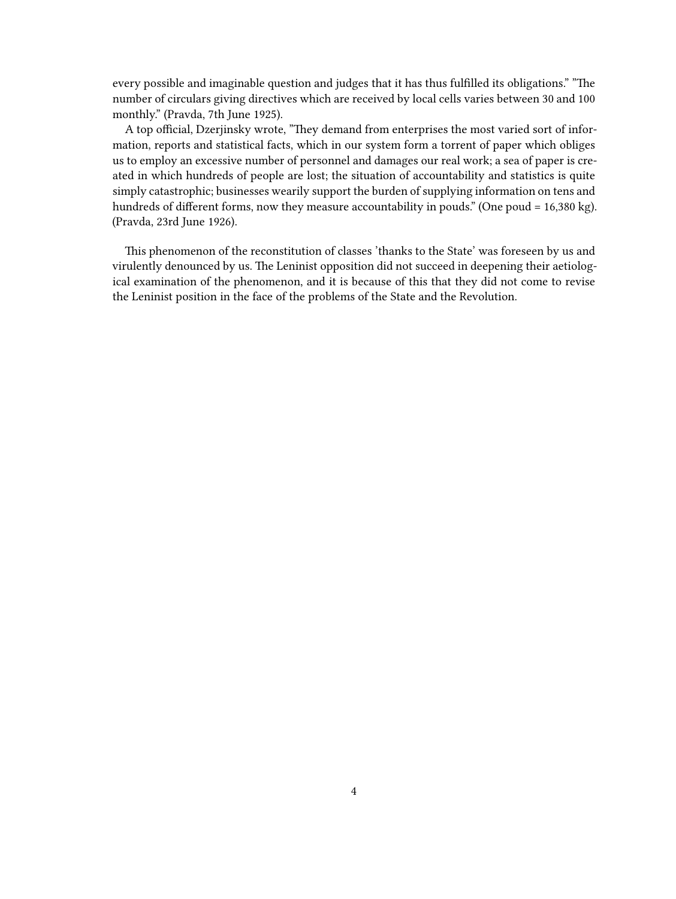every possible and imaginable question and judges that it has thus fulfilled its obligations." "The number of circulars giving directives which are received by local cells varies between 30 and 100 monthly." (Pravda, 7th June 1925).

A top official, Dzerjinsky wrote, "They demand from enterprises the most varied sort of information, reports and statistical facts, which in our system form a torrent of paper which obliges us to employ an excessive number of personnel and damages our real work; a sea of paper is created in which hundreds of people are lost; the situation of accountability and statistics is quite simply catastrophic; businesses wearily support the burden of supplying information on tens and hundreds of different forms, now they measure accountability in pouds." (One poud = 16,380 kg). (Pravda, 23rd June 1926).

This phenomenon of the reconstitution of classes 'thanks to the State' was foreseen by us and virulently denounced by us. The Leninist opposition did not succeed in deepening their aetiological examination of the phenomenon, and it is because of this that they did not come to revise the Leninist position in the face of the problems of the State and the Revolution.